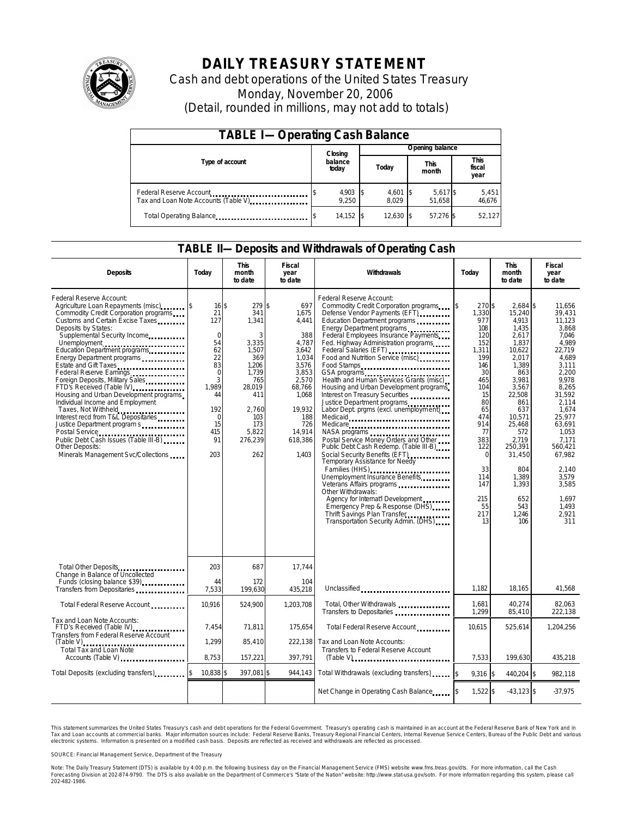

# **DAILY TREASURY STATEMENT**

Cash and debt operations of the United States Treasury Monday, November 20, 2006 (Detail, rounded in millions, may not add to totals)

| <b>TABLE I-Operating Cash Balance</b>                            |  |                   |  |                     |  |                      |  |                               |  |
|------------------------------------------------------------------|--|-------------------|--|---------------------|--|----------------------|--|-------------------------------|--|
|                                                                  |  | Closing           |  | Opening balance     |  |                      |  |                               |  |
| Type of account                                                  |  | balance<br>today  |  | Today               |  | <b>This</b><br>month |  | <b>This</b><br>fiscal<br>year |  |
| Federal Reserve Account<br>Tax and Loan Note Accounts (Table V). |  | 4,903 \$<br>9.250 |  | $4,601$ \$<br>8.029 |  | 5,617 \$<br>51.658   |  | 5,451<br>46,676               |  |
| Total Operating Balance                                          |  | $14,152$ \$       |  | 12.630 \$           |  | 57.276 \$            |  | 52.127                        |  |

### **TABLE II—Deposits and Withdrawals of Operating Cash**

| <b>Deposits</b>                                                                                                                                                                                                                                                                                                                                                                                                                                                                                                                                                                                                                                                                         | Today                                                                                                                                | <b>This</b><br>month<br>to date                                                                                                                | <b>Fiscal</b><br>year<br>to date                                                                                                                            | Withdrawals                                                                                                                                                                                                                                                                                                                                                                                                                                                                                                                                                                                                                                                                                                                                                                                                                                                                                                               | Today                                                                                                                                                                                                                 | <b>This</b><br>month<br>to date                                                                                                                                                                                                                       | <b>Fiscal</b><br>year<br>to date                                                                                                                                                                                                                                 |
|-----------------------------------------------------------------------------------------------------------------------------------------------------------------------------------------------------------------------------------------------------------------------------------------------------------------------------------------------------------------------------------------------------------------------------------------------------------------------------------------------------------------------------------------------------------------------------------------------------------------------------------------------------------------------------------------|--------------------------------------------------------------------------------------------------------------------------------------|------------------------------------------------------------------------------------------------------------------------------------------------|-------------------------------------------------------------------------------------------------------------------------------------------------------------|---------------------------------------------------------------------------------------------------------------------------------------------------------------------------------------------------------------------------------------------------------------------------------------------------------------------------------------------------------------------------------------------------------------------------------------------------------------------------------------------------------------------------------------------------------------------------------------------------------------------------------------------------------------------------------------------------------------------------------------------------------------------------------------------------------------------------------------------------------------------------------------------------------------------------|-----------------------------------------------------------------------------------------------------------------------------------------------------------------------------------------------------------------------|-------------------------------------------------------------------------------------------------------------------------------------------------------------------------------------------------------------------------------------------------------|------------------------------------------------------------------------------------------------------------------------------------------------------------------------------------------------------------------------------------------------------------------|
| Federal Reserve Account:<br>Agriculture Loan Repayments (misc)<br>Commodity Credit Corporation programs<br>Customs and Certain Excise Taxes<br>Deposits by States:<br>Supplemental Security Income<br>Unemployment<br>Education Department programs<br>Energy Department programs<br>Estate and Gift Taxes<br>Federal Reserve Earnings.<br>Foreign Deposits, Military Sales<br>FTD's Received (Table IV)<br>Housing and Urban Development programs<br>Individual Income and Employment<br>Taxes, Not Withheld<br>Interest recd from T&L Depositaries<br>Justice Department program s<br>Public Debt Cash Issues (Table III-B)<br>Other Deposits:<br>Minerals Management Svc/Collections | 16S<br>21<br>127<br>$\mathbf 0$<br>54<br>62<br>22<br>83<br>$\Omega$<br>3<br>1.989<br>44<br>192<br>$\Omega$<br>15<br>415<br>91<br>203 | 279S<br>341<br>1,341<br>3<br>3,335<br>1.507<br>369<br>1,206<br>1.739<br>765<br>28,019<br>411<br>2.760<br>103<br>173<br>5.822<br>276,239<br>262 | 697<br>1,675<br>4,441<br>388<br>4,787<br>3.642<br>1,034<br>3,576<br>3,853<br>2.570<br>68,766<br>1,068<br>19,932<br>188<br>726<br>14,914<br>618,386<br>1,403 | Federal Reserve Account:<br>Commodity Credit Corporation programs<br>Defense Vendor Payments (EFT)<br>Education Department programs<br>Energy Department programs<br>Federal Employees Insurance Payments<br>Fed. Highway Administration programs<br>Federal Salaries (EFT)<br>Food and Nutrition Service (misc)<br>Food Stamps<br>GSA programs<br>Health and Human Services Grants (misc)<br>Housing and Urban Development programs<br>Interest on Treasury Securities<br>Justice Department programs<br>Labor Dept. prgms (excl. unemployment)<br>Medicaid<br>Medicare<br>Postal Service Money Orders and Other<br>Public Debt Cash Redemp. (Table III-B)<br>Temporary Assistance for Needy<br>Families (HHS)<br>Unemployment Insurance Benefits<br>Other Withdrawals:<br>Agency for Internat'l Development.<br>Emergency Prep & Response (DHS)<br>Thrift Savings Plan Transfer<br>Transportation Security Admin. (DHS) | 270 \$<br><sup>\$</sup><br>1,330<br>977<br>108<br>120<br>152<br>1,311<br>199<br>146<br>30<br>465<br>104<br>15<br>80<br>65<br>474<br>914<br>77<br>383<br>122<br>$\Omega$<br>33<br>114<br>147<br>215<br>55<br>217<br>13 | $2.684$ \$<br>15,240<br>4,913<br>1,435<br>2,617<br>1,837<br>10.622<br>2.017<br>1.389<br>863<br>3.981<br>3,567<br>22,508<br>861<br>637<br>10,571<br>25.468<br>572<br>2.719<br>250,391<br>31,450<br>804<br>1,389<br>1,393<br>652<br>543<br>1.246<br>106 | 11.656<br>39,431<br>11,123<br>3.868<br>7.046<br>4.989<br>22.719<br>4.689<br>3.111<br>2.200<br>9.978<br>8,265<br>31,592<br>2,114<br>1.674<br>25,977<br>63.691<br>1,053<br>7.171<br>560,421<br>67,982<br>2,140<br>3,579<br>3,585<br>1.697<br>1.493<br>2.921<br>311 |
| Total Other Deposits<br>Change in Balance of Uncollected<br>Funds (closing balance \$39)                                                                                                                                                                                                                                                                                                                                                                                                                                                                                                                                                                                                | 203<br>44                                                                                                                            | 687<br>172                                                                                                                                     | 17,744<br>104                                                                                                                                               |                                                                                                                                                                                                                                                                                                                                                                                                                                                                                                                                                                                                                                                                                                                                                                                                                                                                                                                           |                                                                                                                                                                                                                       |                                                                                                                                                                                                                                                       |                                                                                                                                                                                                                                                                  |
| Transfers from Depositaries                                                                                                                                                                                                                                                                                                                                                                                                                                                                                                                                                                                                                                                             | 7,533                                                                                                                                | 199,630                                                                                                                                        | 435,218                                                                                                                                                     | Unclassified                                                                                                                                                                                                                                                                                                                                                                                                                                                                                                                                                                                                                                                                                                                                                                                                                                                                                                              | 1,182                                                                                                                                                                                                                 | 18,165                                                                                                                                                                                                                                                | 41,568                                                                                                                                                                                                                                                           |
| Total Federal Reserve Account                                                                                                                                                                                                                                                                                                                                                                                                                                                                                                                                                                                                                                                           | 10,916                                                                                                                               | 524,900                                                                                                                                        | 1,203,708                                                                                                                                                   | Total, Other Withdrawals<br>Transfers to Depositaries                                                                                                                                                                                                                                                                                                                                                                                                                                                                                                                                                                                                                                                                                                                                                                                                                                                                     | 1,681<br>1,299                                                                                                                                                                                                        | 40,274<br>85,410                                                                                                                                                                                                                                      | 82,063<br>222,138                                                                                                                                                                                                                                                |
| Tax and Loan Note Accounts:<br>FTD's Received (Table IV)<br>Transfers from Federal Reserve Account                                                                                                                                                                                                                                                                                                                                                                                                                                                                                                                                                                                      | 7,454                                                                                                                                | 71,811                                                                                                                                         | 175,654                                                                                                                                                     | Total Federal Reserve Account                                                                                                                                                                                                                                                                                                                                                                                                                                                                                                                                                                                                                                                                                                                                                                                                                                                                                             | 10.615                                                                                                                                                                                                                | 525,614                                                                                                                                                                                                                                               | 1,204,256                                                                                                                                                                                                                                                        |
| $(Table V)$<br>Total Tax and Loan Note<br>Accounts (Table V)                                                                                                                                                                                                                                                                                                                                                                                                                                                                                                                                                                                                                            | 1,299<br>8,753                                                                                                                       | 85.410<br>157,221                                                                                                                              | 222.138<br>397,791                                                                                                                                          | Tax and Loan Note Accounts:<br>Transfers to Federal Reserve Account<br>$(Table V)$                                                                                                                                                                                                                                                                                                                                                                                                                                                                                                                                                                                                                                                                                                                                                                                                                                        | 7,533                                                                                                                                                                                                                 | 199,630                                                                                                                                                                                                                                               | 435,218                                                                                                                                                                                                                                                          |
| Total Deposits (excluding transfers)                                                                                                                                                                                                                                                                                                                                                                                                                                                                                                                                                                                                                                                    | 10,838 \$                                                                                                                            | 397,081 \$                                                                                                                                     | 944,143                                                                                                                                                     | Total Withdrawals (excluding transfers)                                                                                                                                                                                                                                                                                                                                                                                                                                                                                                                                                                                                                                                                                                                                                                                                                                                                                   | $9,316$ \$                                                                                                                                                                                                            | 440,204 \$                                                                                                                                                                                                                                            | 982.118                                                                                                                                                                                                                                                          |
|                                                                                                                                                                                                                                                                                                                                                                                                                                                                                                                                                                                                                                                                                         |                                                                                                                                      |                                                                                                                                                |                                                                                                                                                             | Net Change in Operating Cash Balance                                                                                                                                                                                                                                                                                                                                                                                                                                                                                                                                                                                                                                                                                                                                                                                                                                                                                      | $1,522$ \$                                                                                                                                                                                                            | $-43,123$ \$                                                                                                                                                                                                                                          | $-37,975$                                                                                                                                                                                                                                                        |

This statement summarizes the United States Treasury's cash and debt operations for the Federal Government. Treasury's operating cash is maintained in an account at the Federal Reserve Bank of New York and in Tax and Loan accounts at commercial banks. Major information sources include: Federal Reserve Banks, Treasury Regional Financial Centers, Internal Revenue Service Centers, Bureau of the Public Debt and various<br>electronic s

SOURCE: Financial Management Service, Department of the Treasury

Note: The Daily Treasury Statement (DTS) is available by 4:00 p.m. the following business day on the Financial Management Service (FMS) website www.fms.treas.gov/dts. For more information, call the Cash<br>Forecasting Divisio 'S) is available by 4:00 p.m. the following business day on the Financial Management Service (FMS) website www.fms.treas.gov/dts. For more information, call the Cash<br>The DTS is also available on the Department of Commerce'